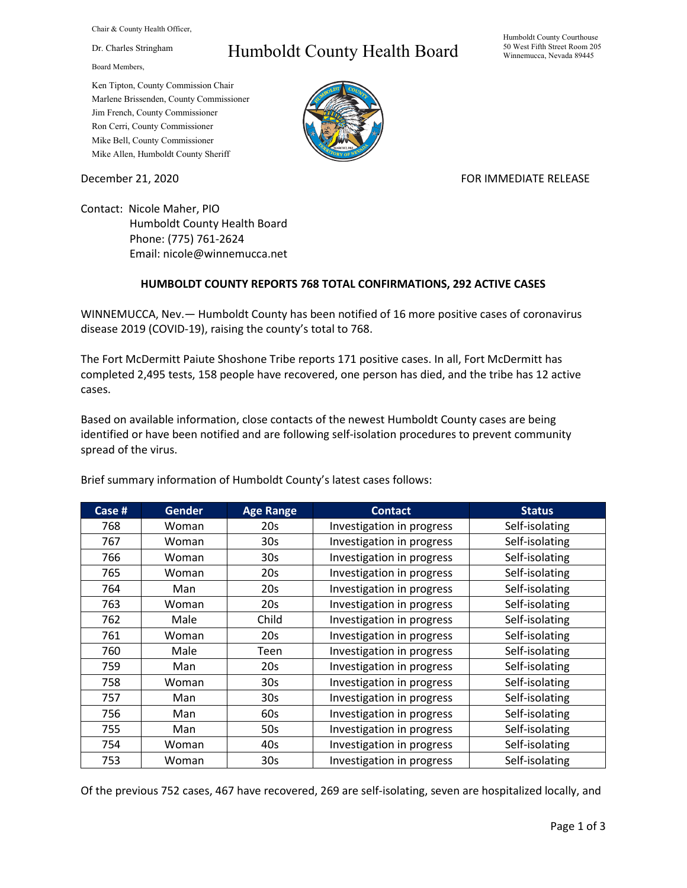Chair & County Health Officer,

Dr. Charles Stringham

Board Members,

## Humboldt County Health Board

Humboldt County Courthouse 50 West Fifth Street Room 205 Winnemucca, Nevada 89445

Ken Tipton, County Commission Chair Marlene Brissenden, County Commissioner Jim French, County Commissioner Ron Cerri, County Commissioner Mike Bell, County Commissioner Mike Allen, Humboldt County Sheriff

December 21, 2020 **FOR IMMEDIATE RELEASE** 

Contact: Nicole Maher, PIO Humboldt County Health Board Phone: (775) 761-2624 Email: nicole@winnemucca.net

## **HUMBOLDT COUNTY REPORTS 768 TOTAL CONFIRMATIONS, 292 ACTIVE CASES**

WINNEMUCCA, Nev.— Humboldt County has been notified of 16 more positive cases of coronavirus disease 2019 (COVID-19), raising the county's total to 768.

The Fort McDermitt Paiute Shoshone Tribe reports 171 positive cases. In all, Fort McDermitt has completed 2,495 tests, 158 people have recovered, one person has died, and the tribe has 12 active cases.

Based on available information, close contacts of the newest Humboldt County cases are being identified or have been notified and are following self-isolation procedures to prevent community spread of the virus.

| Case # | <b>Gender</b> | <b>Age Range</b> | <b>Contact</b>            | <b>Status</b>  |
|--------|---------------|------------------|---------------------------|----------------|
| 768    | Woman         | 20s              | Investigation in progress | Self-isolating |
| 767    | Woman         | 30s              | Investigation in progress | Self-isolating |
| 766    | Woman         | 30s              | Investigation in progress | Self-isolating |
| 765    | Woman         | 20s              | Investigation in progress | Self-isolating |
| 764    | Man           | 20s              | Investigation in progress | Self-isolating |
| 763    | Woman         | 20s              | Investigation in progress | Self-isolating |
| 762    | Male          | Child            | Investigation in progress | Self-isolating |
| 761    | Woman         | 20s              | Investigation in progress | Self-isolating |
| 760    | Male          | Teen             | Investigation in progress | Self-isolating |
| 759    | Man           | 20s              | Investigation in progress | Self-isolating |
| 758    | Woman         | 30s              | Investigation in progress | Self-isolating |
| 757    | Man           | 30 <sub>s</sub>  | Investigation in progress | Self-isolating |
| 756    | Man           | 60s              | Investigation in progress | Self-isolating |
| 755    | Man           | 50s              | Investigation in progress | Self-isolating |
| 754    | Woman         | 40s              | Investigation in progress | Self-isolating |
| 753    | Woman         | 30 <sub>s</sub>  | Investigation in progress | Self-isolating |

Brief summary information of Humboldt County's latest cases follows:

Of the previous 752 cases, 467 have recovered, 269 are self-isolating, seven are hospitalized locally, and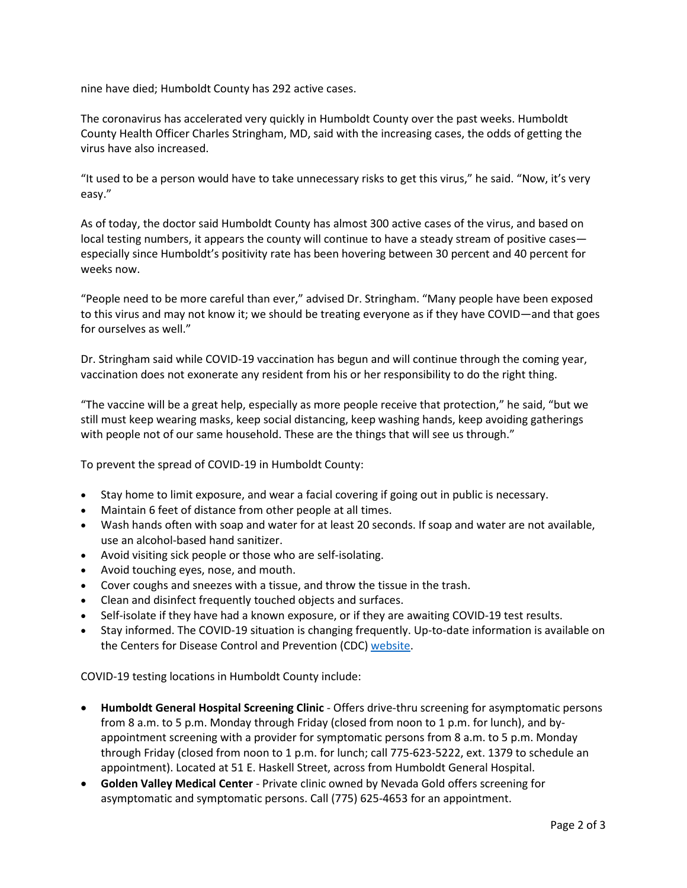nine have died; Humboldt County has 292 active cases.

The coronavirus has accelerated very quickly in Humboldt County over the past weeks. Humboldt County Health Officer Charles Stringham, MD, said with the increasing cases, the odds of getting the virus have also increased.

"It used to be a person would have to take unnecessary risks to get this virus," he said. "Now, it's very easy."

As of today, the doctor said Humboldt County has almost 300 active cases of the virus, and based on local testing numbers, it appears the county will continue to have a steady stream of positive cases especially since Humboldt's positivity rate has been hovering between 30 percent and 40 percent for weeks now.

"People need to be more careful than ever," advised Dr. Stringham. "Many people have been exposed to this virus and may not know it; we should be treating everyone as if they have COVID—and that goes for ourselves as well."

Dr. Stringham said while COVID-19 vaccination has begun and will continue through the coming year, vaccination does not exonerate any resident from his or her responsibility to do the right thing.

"The vaccine will be a great help, especially as more people receive that protection," he said, "but we still must keep wearing masks, keep social distancing, keep washing hands, keep avoiding gatherings with people not of our same household. These are the things that will see us through."

To prevent the spread of COVID-19 in Humboldt County:

- Stay home to limit exposure, and wear a facial covering if going out in public is necessary.
- Maintain 6 feet of distance from other people at all times.
- Wash hands often with soap and water for at least 20 seconds. If soap and water are not available, use an alcohol-based hand sanitizer.
- Avoid visiting sick people or those who are self-isolating.
- Avoid touching eyes, nose, and mouth.
- Cover coughs and sneezes with a tissue, and throw the tissue in the trash.
- Clean and disinfect frequently touched objects and surfaces.
- Self-isolate if they have had a known exposure, or if they are awaiting COVID-19 test results.
- Stay informed. The COVID-19 situation is changing frequently. Up-to-date information is available on the Centers for Disease Control and Prevention (CDC) [website.](http://www.cdc.gov/coronavirus/2019-ncov/index.html)

COVID-19 testing locations in Humboldt County include:

- **Humboldt General Hospital Screening Clinic** Offers drive-thru screening for asymptomatic persons from 8 a.m. to 5 p.m. Monday through Friday (closed from noon to 1 p.m. for lunch), and byappointment screening with a provider for symptomatic persons from 8 a.m. to 5 p.m. Monday through Friday (closed from noon to 1 p.m. for lunch; call 775-623-5222, ext. 1379 to schedule an appointment). Located at 51 E. Haskell Street, across from Humboldt General Hospital.
- **Golden Valley Medical Center** Private clinic owned by Nevada Gold offers screening for asymptomatic and symptomatic persons. Call (775) 625-4653 for an appointment.